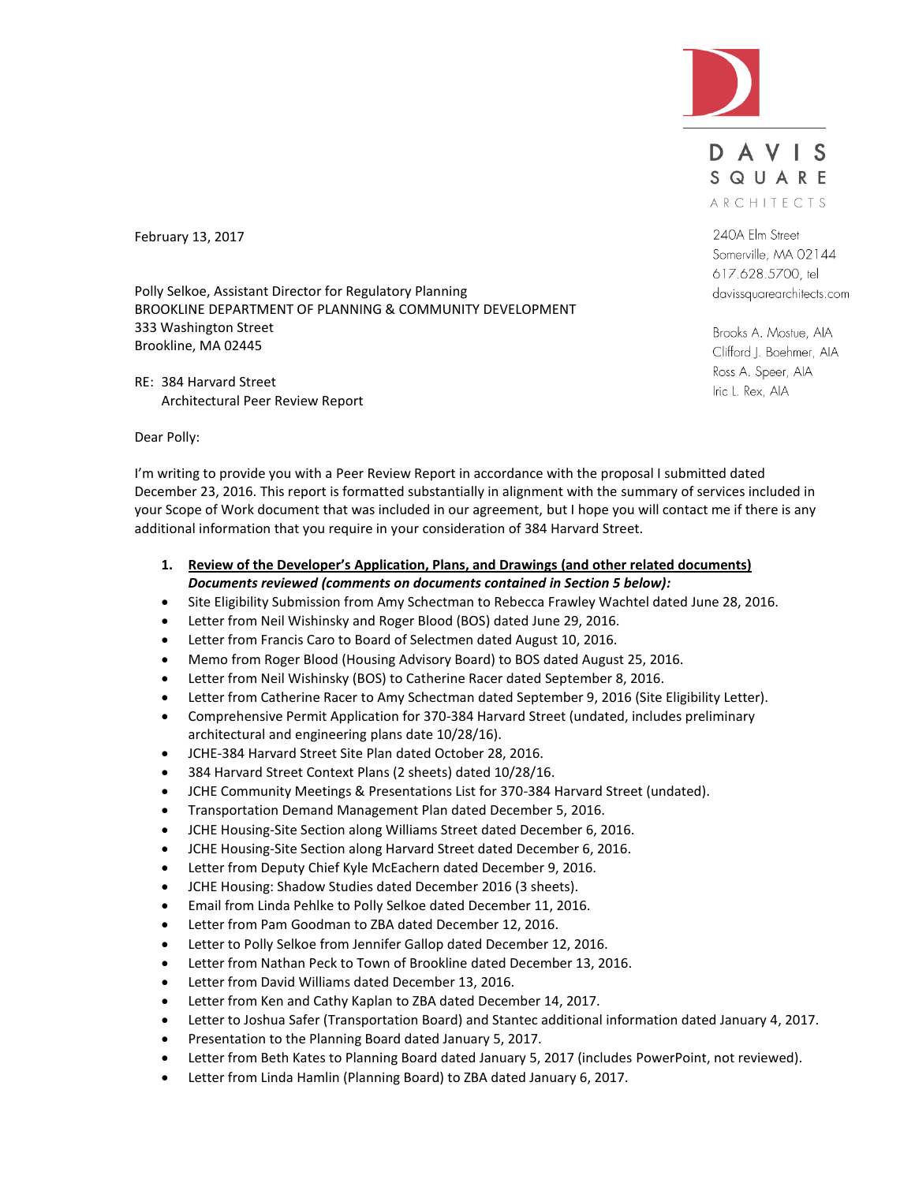

DAVIS SQUARE ARCHITECTS

240A Elm Street Somerville, MA 02144 617.628.5700, tel davissquarearchitects.com

Brooks A. Mostue, AIA Clifford J. Boehmer, AIA Ross A. Speer, AIA Iric L. Rex, AIA

February 13, 2017

Polly Selkoe, Assistant Director for Regulatory Planning BROOKLINE DEPARTMENT OF PLANNING & COMMUNITY DEVELOPMENT 333 Washington Street Brookline, MA 02445

RE: 384 Harvard Street Architectural Peer Review Report

Dear Polly:

I'm writing to provide you with a Peer Review Report in accordance with the proposal I submitted dated December 23, 2016. This report is formatted substantially in alignment with the summary of services included in your Scope of Work document that was included in our agreement, but I hope you will contact me if there is any additional information that you require in your consideration of 384 Harvard Street.

- **1. Review of the Developer's Application, Plans, and Drawings (and other related documents)** *Documents reviewed (comments on documents contained in Section 5 below):*
- Site Eligibility Submission from Amy Schectman to Rebecca Frawley Wachtel dated June 28, 2016.
- Letter from Neil Wishinsky and Roger Blood (BOS) dated June 29, 2016.
- Letter from Francis Caro to Board of Selectmen dated August 10, 2016.
- Memo from Roger Blood (Housing Advisory Board) to BOS dated August 25, 2016.
- Letter from Neil Wishinsky (BOS) to Catherine Racer dated September 8, 2016.
- Letter from Catherine Racer to Amy Schectman dated September 9, 2016 (Site Eligibility Letter).
- Comprehensive Permit Application for 370-384 Harvard Street (undated, includes preliminary architectural and engineering plans date 10/28/16).
- JCHE-384 Harvard Street Site Plan dated October 28, 2016.
- 384 Harvard Street Context Plans (2 sheets) dated 10/28/16.
- JCHE Community Meetings & Presentations List for 370-384 Harvard Street (undated).
- **Transportation Demand Management Plan dated December 5, 2016.**
- JCHE Housing-Site Section along Williams Street dated December 6, 2016.
- JCHE Housing-Site Section along Harvard Street dated December 6, 2016.
- Letter from Deputy Chief Kyle McEachern dated December 9, 2016.
- JCHE Housing: Shadow Studies dated December 2016 (3 sheets).
- Email from Linda Pehlke to Polly Selkoe dated December 11, 2016.
- Letter from Pam Goodman to ZBA dated December 12, 2016.
- Letter to Polly Selkoe from Jennifer Gallop dated December 12, 2016.
- Letter from Nathan Peck to Town of Brookline dated December 13, 2016.
- Letter from David Williams dated December 13, 2016.
- Letter from Ken and Cathy Kaplan to ZBA dated December 14, 2017.
- Letter to Joshua Safer (Transportation Board) and Stantec additional information dated January 4, 2017.
- Presentation to the Planning Board dated January 5, 2017.
- Letter from Beth Kates to Planning Board dated January 5, 2017 (includes PowerPoint, not reviewed).
- Letter from Linda Hamlin (Planning Board) to ZBA dated January 6, 2017.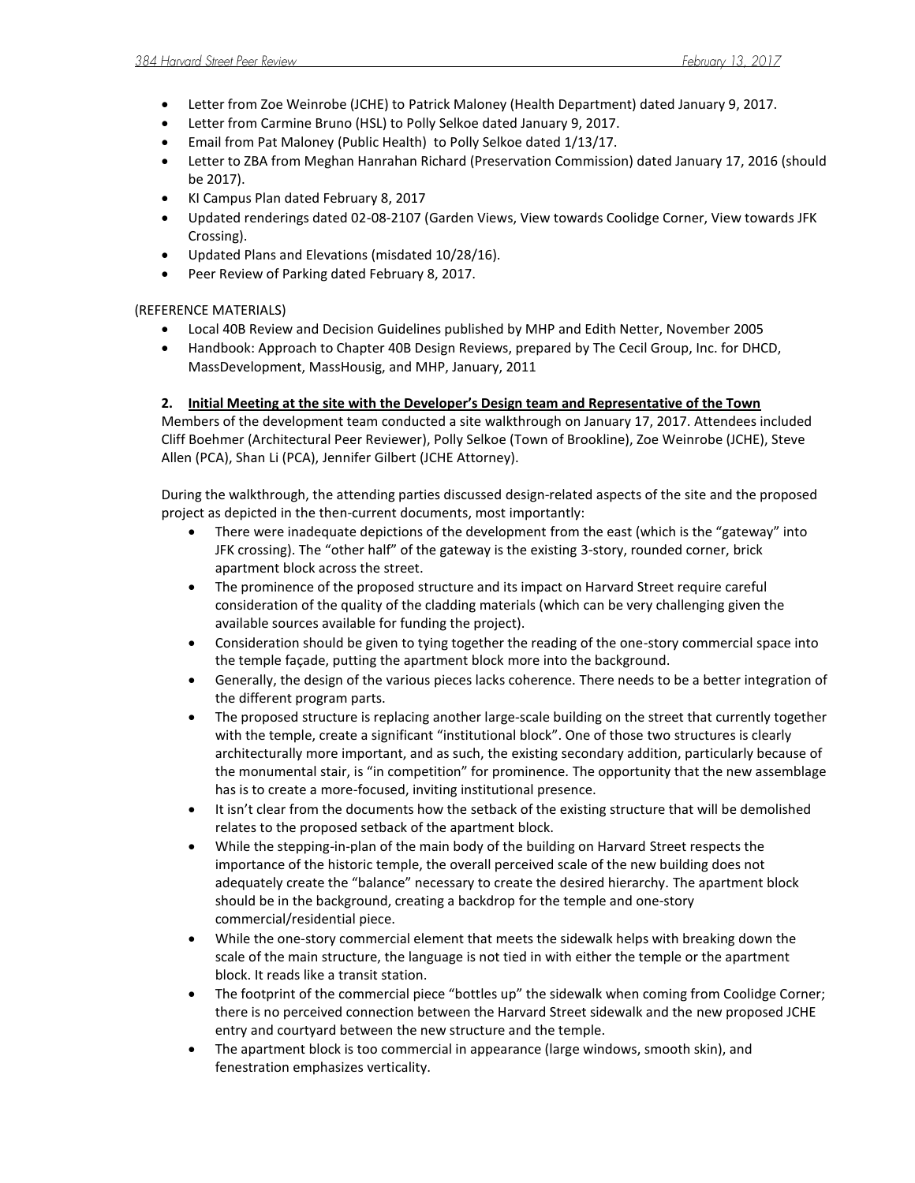- Letter from Zoe Weinrobe (JCHE) to Patrick Maloney (Health Department) dated January 9, 2017.
- Letter from Carmine Bruno (HSL) to Polly Selkoe dated January 9, 2017.
- Email from Pat Maloney (Public Health) to Polly Selkoe dated 1/13/17.
- Letter to ZBA from Meghan Hanrahan Richard (Preservation Commission) dated January 17, 2016 (should be 2017).
- KI Campus Plan dated February 8, 2017
- Updated renderings dated 02-08-2107 (Garden Views, View towards Coolidge Corner, View towards JFK Crossing).
- Updated Plans and Elevations (misdated 10/28/16).
- Peer Review of Parking dated February 8, 2017.

# (REFERENCE MATERIALS)

- Local 40B Review and Decision Guidelines published by MHP and Edith Netter, November 2005
- Handbook: Approach to Chapter 40B Design Reviews, prepared by The Cecil Group, Inc. for DHCD, MassDevelopment, MassHousig, and MHP, January, 2011

# **2. Initial Meeting at the site with the Developer's Design team and Representative of the Town**

Members of the development team conducted a site walkthrough on January 17, 2017. Attendees included Cliff Boehmer (Architectural Peer Reviewer), Polly Selkoe (Town of Brookline), Zoe Weinrobe (JCHE), Steve Allen (PCA), Shan Li (PCA), Jennifer Gilbert (JCHE Attorney).

During the walkthrough, the attending parties discussed design-related aspects of the site and the proposed project as depicted in the then-current documents, most importantly:

- There were inadequate depictions of the development from the east (which is the "gateway" into JFK crossing). The "other half" of the gateway is the existing 3-story, rounded corner, brick apartment block across the street.
- The prominence of the proposed structure and its impact on Harvard Street require careful consideration of the quality of the cladding materials (which can be very challenging given the available sources available for funding the project).
- Consideration should be given to tying together the reading of the one-story commercial space into the temple façade, putting the apartment block more into the background.
- Generally, the design of the various pieces lacks coherence. There needs to be a better integration of the different program parts.
- The proposed structure is replacing another large-scale building on the street that currently together with the temple, create a significant "institutional block". One of those two structures is clearly architecturally more important, and as such, the existing secondary addition, particularly because of the monumental stair, is "in competition" for prominence. The opportunity that the new assemblage has is to create a more-focused, inviting institutional presence.
- It isn't clear from the documents how the setback of the existing structure that will be demolished relates to the proposed setback of the apartment block.
- While the stepping-in-plan of the main body of the building on Harvard Street respects the importance of the historic temple, the overall perceived scale of the new building does not adequately create the "balance" necessary to create the desired hierarchy. The apartment block should be in the background, creating a backdrop for the temple and one-story commercial/residential piece.
- While the one-story commercial element that meets the sidewalk helps with breaking down the scale of the main structure, the language is not tied in with either the temple or the apartment block. It reads like a transit station.
- The footprint of the commercial piece "bottles up" the sidewalk when coming from Coolidge Corner; there is no perceived connection between the Harvard Street sidewalk and the new proposed JCHE entry and courtyard between the new structure and the temple.
- The apartment block is too commercial in appearance (large windows, smooth skin), and fenestration emphasizes verticality.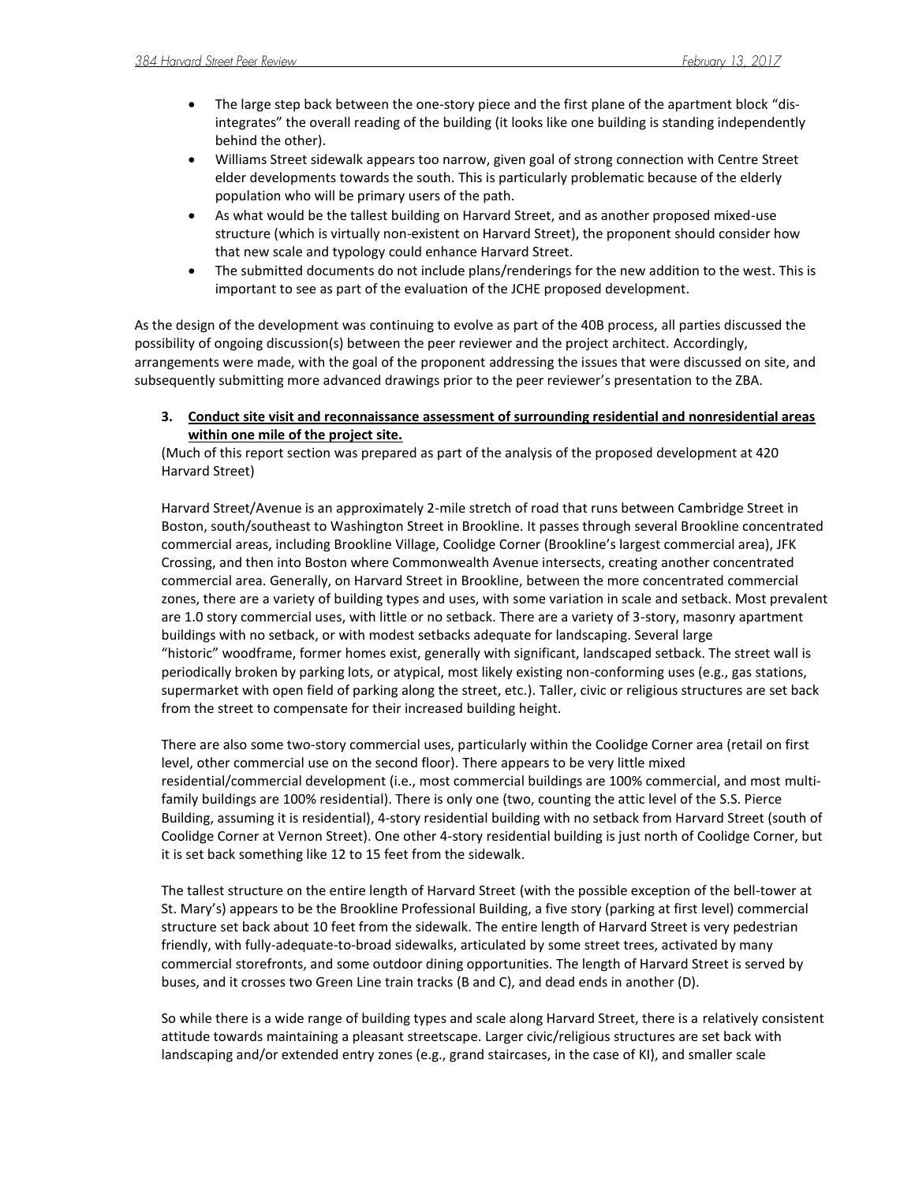- The large step back between the one-story piece and the first plane of the apartment block "disintegrates" the overall reading of the building (it looks like one building is standing independently behind the other).
- Williams Street sidewalk appears too narrow, given goal of strong connection with Centre Street elder developments towards the south. This is particularly problematic because of the elderly population who will be primary users of the path.
- As what would be the tallest building on Harvard Street, and as another proposed mixed-use structure (which is virtually non-existent on Harvard Street), the proponent should consider how that new scale and typology could enhance Harvard Street.
- The submitted documents do not include plans/renderings for the new addition to the west. This is important to see as part of the evaluation of the JCHE proposed development.

As the design of the development was continuing to evolve as part of the 40B process, all parties discussed the possibility of ongoing discussion(s) between the peer reviewer and the project architect. Accordingly, arrangements were made, with the goal of the proponent addressing the issues that were discussed on site, and subsequently submitting more advanced drawings prior to the peer reviewer's presentation to the ZBA.

**3. Conduct site visit and reconnaissance assessment of surrounding residential and nonresidential areas within one mile of the project site.** 

(Much of this report section was prepared as part of the analysis of the proposed development at 420 Harvard Street)

Harvard Street/Avenue is an approximately 2-mile stretch of road that runs between Cambridge Street in Boston, south/southeast to Washington Street in Brookline. It passes through several Brookline concentrated commercial areas, including Brookline Village, Coolidge Corner (Brookline's largest commercial area), JFK Crossing, and then into Boston where Commonwealth Avenue intersects, creating another concentrated commercial area. Generally, on Harvard Street in Brookline, between the more concentrated commercial zones, there are a variety of building types and uses, with some variation in scale and setback. Most prevalent are 1.0 story commercial uses, with little or no setback. There are a variety of 3-story, masonry apartment buildings with no setback, or with modest setbacks adequate for landscaping. Several large "historic" woodframe, former homes exist, generally with significant, landscaped setback. The street wall is periodically broken by parking lots, or atypical, most likely existing non-conforming uses (e.g., gas stations, supermarket with open field of parking along the street, etc.). Taller, civic or religious structures are set back from the street to compensate for their increased building height.

There are also some two-story commercial uses, particularly within the Coolidge Corner area (retail on first level, other commercial use on the second floor). There appears to be very little mixed residential/commercial development (i.e., most commercial buildings are 100% commercial, and most multifamily buildings are 100% residential). There is only one (two, counting the attic level of the S.S. Pierce Building, assuming it is residential), 4-story residential building with no setback from Harvard Street (south of Coolidge Corner at Vernon Street). One other 4-story residential building is just north of Coolidge Corner, but it is set back something like 12 to 15 feet from the sidewalk.

The tallest structure on the entire length of Harvard Street (with the possible exception of the bell-tower at St. Mary's) appears to be the Brookline Professional Building, a five story (parking at first level) commercial structure set back about 10 feet from the sidewalk. The entire length of Harvard Street is very pedestrian friendly, with fully-adequate-to-broad sidewalks, articulated by some street trees, activated by many commercial storefronts, and some outdoor dining opportunities. The length of Harvard Street is served by buses, and it crosses two Green Line train tracks (B and C), and dead ends in another (D).

So while there is a wide range of building types and scale along Harvard Street, there is a relatively consistent attitude towards maintaining a pleasant streetscape. Larger civic/religious structures are set back with landscaping and/or extended entry zones (e.g., grand staircases, in the case of KI), and smaller scale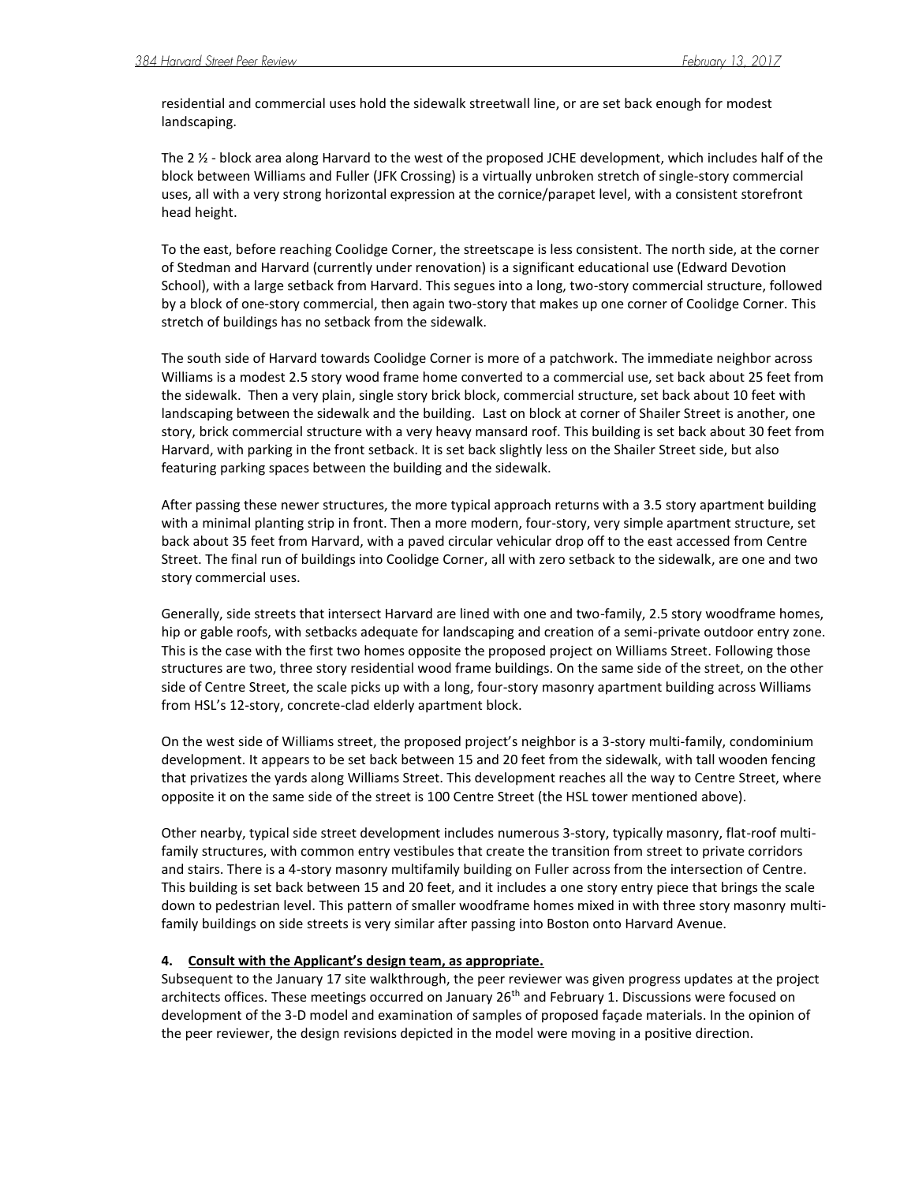residential and commercial uses hold the sidewalk streetwall line, or are set back enough for modest landscaping.

The 2 ½ - block area along Harvard to the west of the proposed JCHE development, which includes half of the block between Williams and Fuller (JFK Crossing) is a virtually unbroken stretch of single-story commercial uses, all with a very strong horizontal expression at the cornice/parapet level, with a consistent storefront head height.

To the east, before reaching Coolidge Corner, the streetscape is less consistent. The north side, at the corner of Stedman and Harvard (currently under renovation) is a significant educational use (Edward Devotion School), with a large setback from Harvard. This segues into a long, two-story commercial structure, followed by a block of one-story commercial, then again two-story that makes up one corner of Coolidge Corner. This stretch of buildings has no setback from the sidewalk.

The south side of Harvard towards Coolidge Corner is more of a patchwork. The immediate neighbor across Williams is a modest 2.5 story wood frame home converted to a commercial use, set back about 25 feet from the sidewalk. Then a very plain, single story brick block, commercial structure, set back about 10 feet with landscaping between the sidewalk and the building. Last on block at corner of Shailer Street is another, one story, brick commercial structure with a very heavy mansard roof. This building is set back about 30 feet from Harvard, with parking in the front setback. It is set back slightly less on the Shailer Street side, but also featuring parking spaces between the building and the sidewalk.

After passing these newer structures, the more typical approach returns with a 3.5 story apartment building with a minimal planting strip in front. Then a more modern, four-story, very simple apartment structure, set back about 35 feet from Harvard, with a paved circular vehicular drop off to the east accessed from Centre Street. The final run of buildings into Coolidge Corner, all with zero setback to the sidewalk, are one and two story commercial uses.

Generally, side streets that intersect Harvard are lined with one and two-family, 2.5 story woodframe homes, hip or gable roofs, with setbacks adequate for landscaping and creation of a semi-private outdoor entry zone. This is the case with the first two homes opposite the proposed project on Williams Street. Following those structures are two, three story residential wood frame buildings. On the same side of the street, on the other side of Centre Street, the scale picks up with a long, four-story masonry apartment building across Williams from HSL's 12-story, concrete-clad elderly apartment block.

On the west side of Williams street, the proposed project's neighbor is a 3-story multi-family, condominium development. It appears to be set back between 15 and 20 feet from the sidewalk, with tall wooden fencing that privatizes the yards along Williams Street. This development reaches all the way to Centre Street, where opposite it on the same side of the street is 100 Centre Street (the HSL tower mentioned above).

Other nearby, typical side street development includes numerous 3-story, typically masonry, flat-roof multifamily structures, with common entry vestibules that create the transition from street to private corridors and stairs. There is a 4-story masonry multifamily building on Fuller across from the intersection of Centre. This building is set back between 15 and 20 feet, and it includes a one story entry piece that brings the scale down to pedestrian level. This pattern of smaller woodframe homes mixed in with three story masonry multifamily buildings on side streets is very similar after passing into Boston onto Harvard Avenue.

# **4. Consult with the Applicant's design team, as appropriate.**

Subsequent to the January 17 site walkthrough, the peer reviewer was given progress updates at the project architects offices. These meetings occurred on January 26<sup>th</sup> and February 1. Discussions were focused on development of the 3-D model and examination of samples of proposed façade materials. In the opinion of the peer reviewer, the design revisions depicted in the model were moving in a positive direction.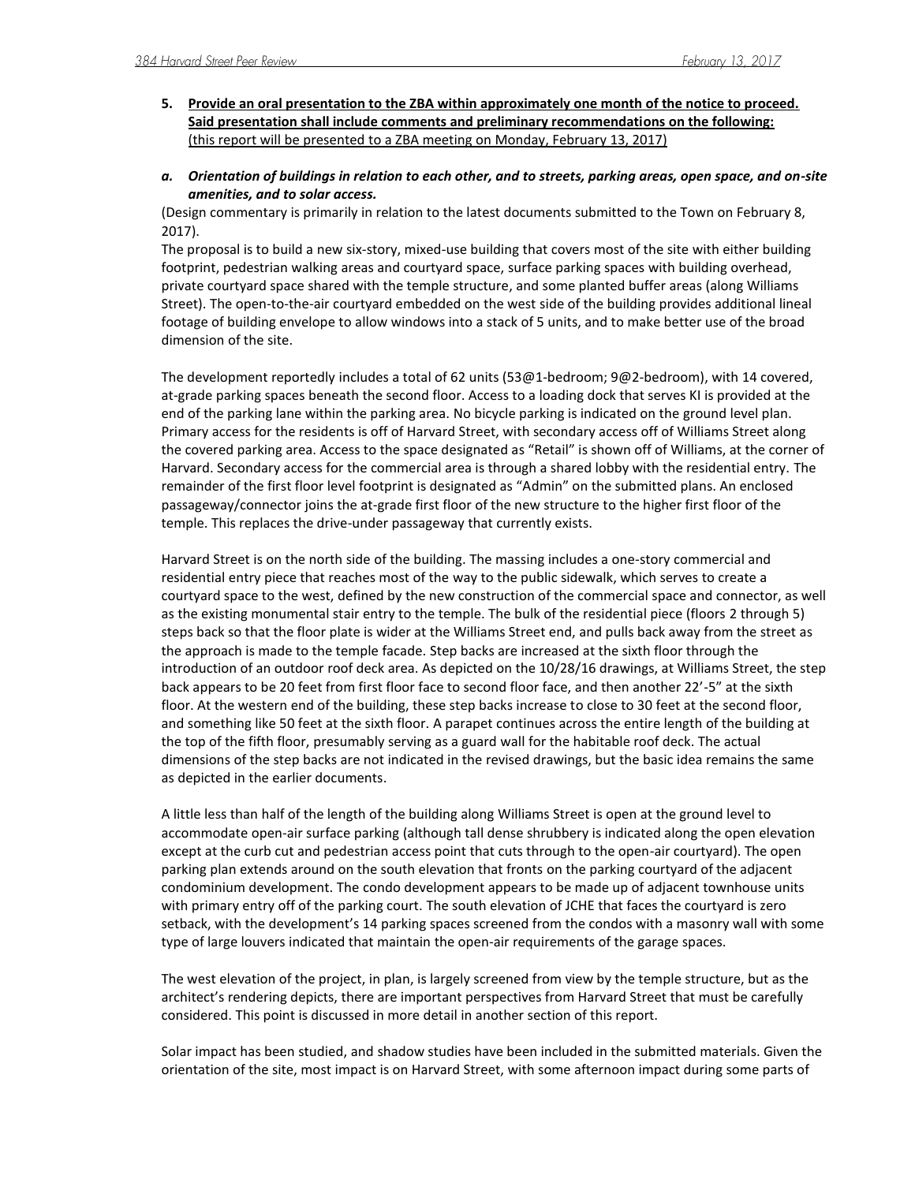- **5. Provide an oral presentation to the ZBA within approximately one month of the notice to proceed. Said presentation shall include comments and preliminary recommendations on the following:** (this report will be presented to a ZBA meeting on Monday, February 13, 2017)
- *a. Orientation of buildings in relation to each other, and to streets, parking areas, open space, and on-site amenities, and to solar access.*

(Design commentary is primarily in relation to the latest documents submitted to the Town on February 8, 2017).

The proposal is to build a new six-story, mixed-use building that covers most of the site with either building footprint, pedestrian walking areas and courtyard space, surface parking spaces with building overhead, private courtyard space shared with the temple structure, and some planted buffer areas (along Williams Street). The open-to-the-air courtyard embedded on the west side of the building provides additional lineal footage of building envelope to allow windows into a stack of 5 units, and to make better use of the broad dimension of the site.

The development reportedly includes a total of 62 units (53@1-bedroom; 9@2-bedroom), with 14 covered, at-grade parking spaces beneath the second floor. Access to a loading dock that serves KI is provided at the end of the parking lane within the parking area. No bicycle parking is indicated on the ground level plan. Primary access for the residents is off of Harvard Street, with secondary access off of Williams Street along the covered parking area. Access to the space designated as "Retail" is shown off of Williams, at the corner of Harvard. Secondary access for the commercial area is through a shared lobby with the residential entry. The remainder of the first floor level footprint is designated as "Admin" on the submitted plans. An enclosed passageway/connector joins the at-grade first floor of the new structure to the higher first floor of the temple. This replaces the drive-under passageway that currently exists.

Harvard Street is on the north side of the building. The massing includes a one-story commercial and residential entry piece that reaches most of the way to the public sidewalk, which serves to create a courtyard space to the west, defined by the new construction of the commercial space and connector, as well as the existing monumental stair entry to the temple. The bulk of the residential piece (floors 2 through 5) steps back so that the floor plate is wider at the Williams Street end, and pulls back away from the street as the approach is made to the temple facade. Step backs are increased at the sixth floor through the introduction of an outdoor roof deck area. As depicted on the 10/28/16 drawings, at Williams Street, the step back appears to be 20 feet from first floor face to second floor face, and then another 22'-5" at the sixth floor. At the western end of the building, these step backs increase to close to 30 feet at the second floor, and something like 50 feet at the sixth floor. A parapet continues across the entire length of the building at the top of the fifth floor, presumably serving as a guard wall for the habitable roof deck. The actual dimensions of the step backs are not indicated in the revised drawings, but the basic idea remains the same as depicted in the earlier documents.

A little less than half of the length of the building along Williams Street is open at the ground level to accommodate open-air surface parking (although tall dense shrubbery is indicated along the open elevation except at the curb cut and pedestrian access point that cuts through to the open-air courtyard). The open parking plan extends around on the south elevation that fronts on the parking courtyard of the adjacent condominium development. The condo development appears to be made up of adjacent townhouse units with primary entry off of the parking court. The south elevation of JCHE that faces the courtyard is zero setback, with the development's 14 parking spaces screened from the condos with a masonry wall with some type of large louvers indicated that maintain the open-air requirements of the garage spaces.

The west elevation of the project, in plan, is largely screened from view by the temple structure, but as the architect's rendering depicts, there are important perspectives from Harvard Street that must be carefully considered. This point is discussed in more detail in another section of this report.

Solar impact has been studied, and shadow studies have been included in the submitted materials. Given the orientation of the site, most impact is on Harvard Street, with some afternoon impact during some parts of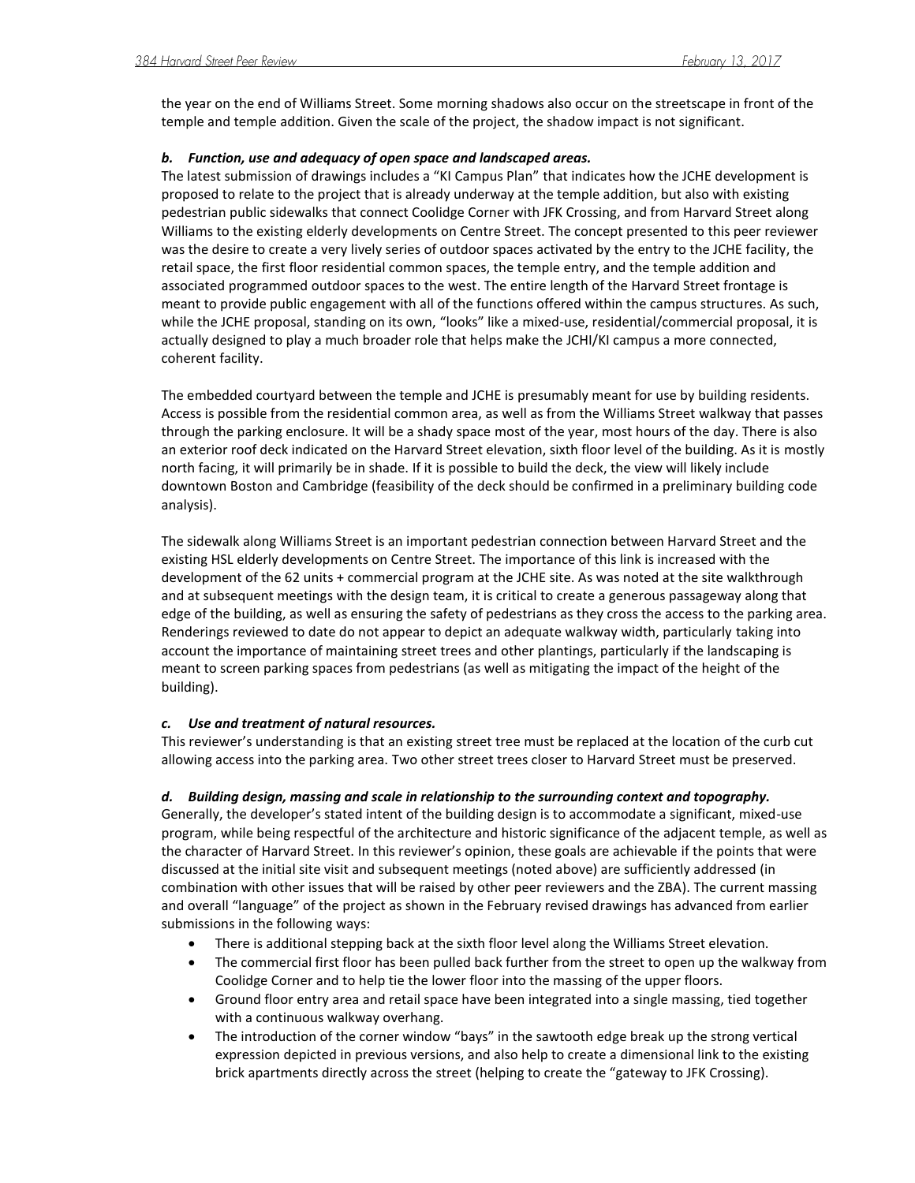the year on the end of Williams Street. Some morning shadows also occur on the streetscape in front of the temple and temple addition. Given the scale of the project, the shadow impact is not significant.

## *b. Function, use and adequacy of open space and landscaped areas.*

The latest submission of drawings includes a "KI Campus Plan" that indicates how the JCHE development is proposed to relate to the project that is already underway at the temple addition, but also with existing pedestrian public sidewalks that connect Coolidge Corner with JFK Crossing, and from Harvard Street along Williams to the existing elderly developments on Centre Street. The concept presented to this peer reviewer was the desire to create a very lively series of outdoor spaces activated by the entry to the JCHE facility, the retail space, the first floor residential common spaces, the temple entry, and the temple addition and associated programmed outdoor spaces to the west. The entire length of the Harvard Street frontage is meant to provide public engagement with all of the functions offered within the campus structures. As such, while the JCHE proposal, standing on its own, "looks" like a mixed-use, residential/commercial proposal, it is actually designed to play a much broader role that helps make the JCHI/KI campus a more connected, coherent facility.

The embedded courtyard between the temple and JCHE is presumably meant for use by building residents. Access is possible from the residential common area, as well as from the Williams Street walkway that passes through the parking enclosure. It will be a shady space most of the year, most hours of the day. There is also an exterior roof deck indicated on the Harvard Street elevation, sixth floor level of the building. As it is mostly north facing, it will primarily be in shade. If it is possible to build the deck, the view will likely include downtown Boston and Cambridge (feasibility of the deck should be confirmed in a preliminary building code analysis).

The sidewalk along Williams Street is an important pedestrian connection between Harvard Street and the existing HSL elderly developments on Centre Street. The importance of this link is increased with the development of the 62 units + commercial program at the JCHE site. As was noted at the site walkthrough and at subsequent meetings with the design team, it is critical to create a generous passageway along that edge of the building, as well as ensuring the safety of pedestrians as they cross the access to the parking area. Renderings reviewed to date do not appear to depict an adequate walkway width, particularly taking into account the importance of maintaining street trees and other plantings, particularly if the landscaping is meant to screen parking spaces from pedestrians (as well as mitigating the impact of the height of the building).

# *c. Use and treatment of natural resources.*

This reviewer's understanding is that an existing street tree must be replaced at the location of the curb cut allowing access into the parking area. Two other street trees closer to Harvard Street must be preserved.

### *d. Building design, massing and scale in relationship to the surrounding context and topography.*

Generally, the developer's stated intent of the building design is to accommodate a significant, mixed-use program, while being respectful of the architecture and historic significance of the adjacent temple, as well as the character of Harvard Street. In this reviewer's opinion, these goals are achievable if the points that were discussed at the initial site visit and subsequent meetings (noted above) are sufficiently addressed (in combination with other issues that will be raised by other peer reviewers and the ZBA). The current massing and overall "language" of the project as shown in the February revised drawings has advanced from earlier submissions in the following ways:

- There is additional stepping back at the sixth floor level along the Williams Street elevation.
- The commercial first floor has been pulled back further from the street to open up the walkway from Coolidge Corner and to help tie the lower floor into the massing of the upper floors.
- Ground floor entry area and retail space have been integrated into a single massing, tied together with a continuous walkway overhang.
- The introduction of the corner window "bays" in the sawtooth edge break up the strong vertical expression depicted in previous versions, and also help to create a dimensional link to the existing brick apartments directly across the street (helping to create the "gateway to JFK Crossing).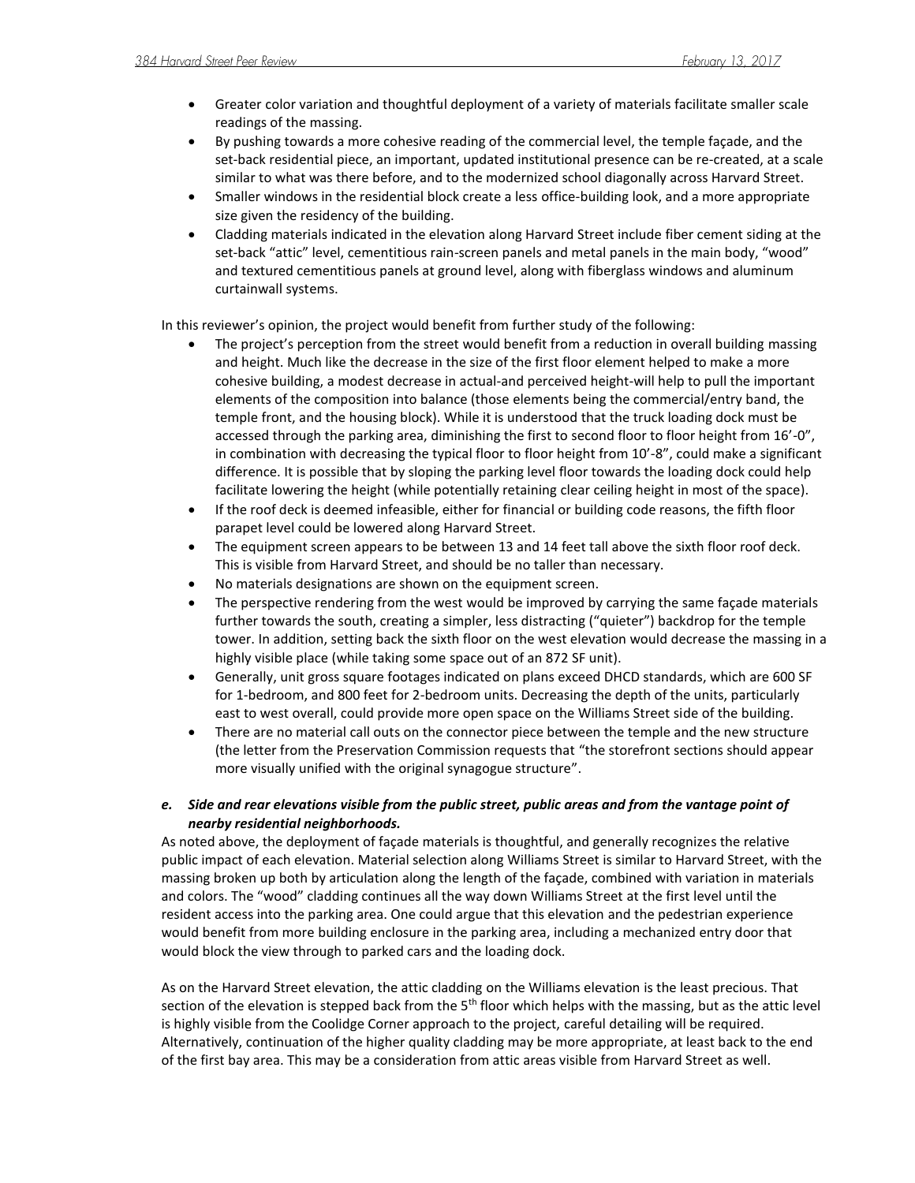- Greater color variation and thoughtful deployment of a variety of materials facilitate smaller scale readings of the massing.
- By pushing towards a more cohesive reading of the commercial level, the temple façade, and the set-back residential piece, an important, updated institutional presence can be re-created, at a scale similar to what was there before, and to the modernized school diagonally across Harvard Street.
- Smaller windows in the residential block create a less office-building look, and a more appropriate size given the residency of the building.
- Cladding materials indicated in the elevation along Harvard Street include fiber cement siding at the set-back "attic" level, cementitious rain-screen panels and metal panels in the main body, "wood" and textured cementitious panels at ground level, along with fiberglass windows and aluminum curtainwall systems.

In this reviewer's opinion, the project would benefit from further study of the following:

- The project's perception from the street would benefit from a reduction in overall building massing and height. Much like the decrease in the size of the first floor element helped to make a more cohesive building, a modest decrease in actual-and perceived height-will help to pull the important elements of the composition into balance (those elements being the commercial/entry band, the temple front, and the housing block). While it is understood that the truck loading dock must be accessed through the parking area, diminishing the first to second floor to floor height from 16'-0", in combination with decreasing the typical floor to floor height from 10'-8", could make a significant difference. It is possible that by sloping the parking level floor towards the loading dock could help facilitate lowering the height (while potentially retaining clear ceiling height in most of the space).
- If the roof deck is deemed infeasible, either for financial or building code reasons, the fifth floor parapet level could be lowered along Harvard Street.
- The equipment screen appears to be between 13 and 14 feet tall above the sixth floor roof deck. This is visible from Harvard Street, and should be no taller than necessary.
- No materials designations are shown on the equipment screen.
- The perspective rendering from the west would be improved by carrying the same façade materials further towards the south, creating a simpler, less distracting ("quieter") backdrop for the temple tower. In addition, setting back the sixth floor on the west elevation would decrease the massing in a highly visible place (while taking some space out of an 872 SF unit).
- Generally, unit gross square footages indicated on plans exceed DHCD standards, which are 600 SF for 1-bedroom, and 800 feet for 2-bedroom units. Decreasing the depth of the units, particularly east to west overall, could provide more open space on the Williams Street side of the building.
- There are no material call outs on the connector piece between the temple and the new structure (the letter from the Preservation Commission requests that "the storefront sections should appear more visually unified with the original synagogue structure".

# *e. Side and rear elevations visible from the public street, public areas and from the vantage point of nearby residential neighborhoods.*

As noted above, the deployment of façade materials is thoughtful, and generally recognizes the relative public impact of each elevation. Material selection along Williams Street is similar to Harvard Street, with the massing broken up both by articulation along the length of the façade, combined with variation in materials and colors. The "wood" cladding continues all the way down Williams Street at the first level until the resident access into the parking area. One could argue that this elevation and the pedestrian experience would benefit from more building enclosure in the parking area, including a mechanized entry door that would block the view through to parked cars and the loading dock.

As on the Harvard Street elevation, the attic cladding on the Williams elevation is the least precious. That section of the elevation is stepped back from the  $5<sup>th</sup>$  floor which helps with the massing, but as the attic level is highly visible from the Coolidge Corner approach to the project, careful detailing will be required. Alternatively, continuation of the higher quality cladding may be more appropriate, at least back to the end of the first bay area. This may be a consideration from attic areas visible from Harvard Street as well.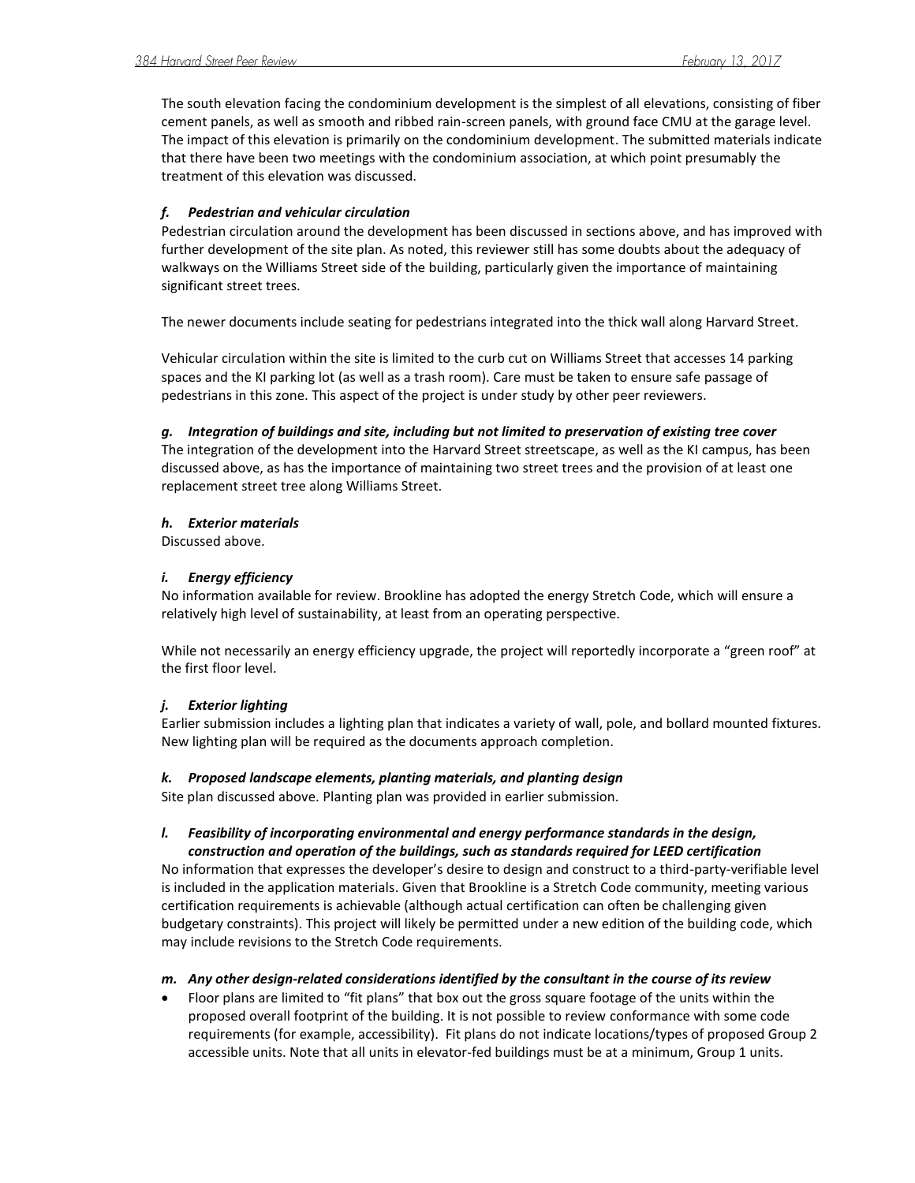The south elevation facing the condominium development is the simplest of all elevations, consisting of fiber cement panels, as well as smooth and ribbed rain-screen panels, with ground face CMU at the garage level. The impact of this elevation is primarily on the condominium development. The submitted materials indicate that there have been two meetings with the condominium association, at which point presumably the treatment of this elevation was discussed.

# *f. Pedestrian and vehicular circulation*

Pedestrian circulation around the development has been discussed in sections above, and has improved with further development of the site plan. As noted, this reviewer still has some doubts about the adequacy of walkways on the Williams Street side of the building, particularly given the importance of maintaining significant street trees.

The newer documents include seating for pedestrians integrated into the thick wall along Harvard Street.

Vehicular circulation within the site is limited to the curb cut on Williams Street that accesses 14 parking spaces and the KI parking lot (as well as a trash room). Care must be taken to ensure safe passage of pedestrians in this zone. This aspect of the project is under study by other peer reviewers.

## *g. Integration of buildings and site, including but not limited to preservation of existing tree cover*

The integration of the development into the Harvard Street streetscape, as well as the KI campus, has been discussed above, as has the importance of maintaining two street trees and the provision of at least one replacement street tree along Williams Street.

## *h. Exterior materials*

Discussed above.

## *i. Energy efficiency*

No information available for review. Brookline has adopted the energy Stretch Code, which will ensure a relatively high level of sustainability, at least from an operating perspective.

While not necessarily an energy efficiency upgrade, the project will reportedly incorporate a "green roof" at the first floor level.

# *j. Exterior lighting*

Earlier submission includes a lighting plan that indicates a variety of wall, pole, and bollard mounted fixtures. New lighting plan will be required as the documents approach completion.

### *k. Proposed landscape elements, planting materials, and planting design*

Site plan discussed above. Planting plan was provided in earlier submission.

# *l. Feasibility of incorporating environmental and energy performance standards in the design, construction and operation of the buildings, such as standards required for LEED certification*

No information that expresses the developer's desire to design and construct to a third-party-verifiable level is included in the application materials. Given that Brookline is a Stretch Code community, meeting various certification requirements is achievable (although actual certification can often be challenging given budgetary constraints). This project will likely be permitted under a new edition of the building code, which may include revisions to the Stretch Code requirements.

# *m. Any other design-related considerations identified by the consultant in the course of its review*

 Floor plans are limited to "fit plans" that box out the gross square footage of the units within the proposed overall footprint of the building. It is not possible to review conformance with some code requirements (for example, accessibility). Fit plans do not indicate locations/types of proposed Group 2 accessible units. Note that all units in elevator-fed buildings must be at a minimum, Group 1 units.